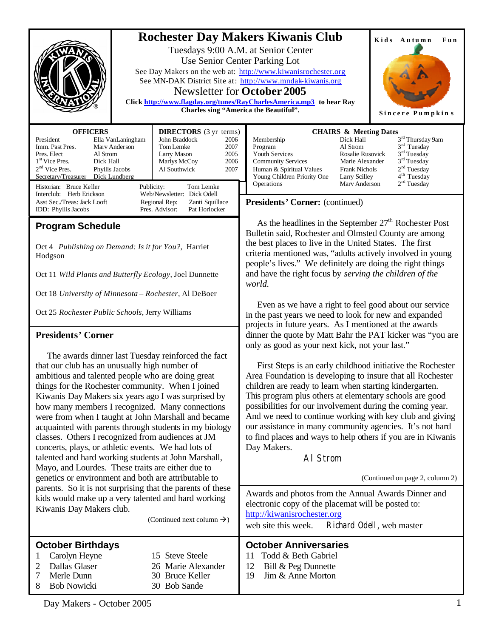

 Even as we have a right to feel good about our service in the past years we need to look for new and expanded projects in future years. As I mentioned at the awards dinner the quote by Matt Bahr the PAT kicker was "you are

 First Steps is an early childhood initiative the Rochester Area Foundation is developing to insure that all Rochester children are ready to learn when starting kindergarten. This program plus others at elementary schools are good possibilities for our involvement during the coming year. And we need to continue working with key club and giving our assistance in many community agencies. It's not hard to find places and ways to help others if you are in Kiwanis

only as good as your next kick, not your last."

Al Strom

Oct 18 *University of Minnesota – Rochester*, Al DeBoer

Oct 25 *Rochester Public Schools*, Jerry Williams

### **Presidents' Corner**

 The awards dinner last Tuesday reinforced the fact that our club has an unusually high number of ambitious and talented people who are doing great things for the Rochester community. When I joined Kiwanis Day Makers six years ago I was surprised by how many members I recognized. Many connections were from when I taught at John Marshall and became acquainted with parents through students in my biology classes. Others I recognized from audiences at JM concerts, plays, or athletic events. We had lots of talented and hard working students at John Marshall, Mayo, and Lourdes. These traits are either due to genetics or environment and both are attributable to parents. So it is not surprising that the parents of these kids would make up a very talented and hard working Kiwanis Day Makers club.

(Continued next column  $\rightarrow$ ) **October Anniversaries** 11 Todd & Beth Gabriel 12 Bill & Peg Dunnette 19 Jim & Anne Morton **October Birthdays** 1 Carolyn Heyne 15 Steve Steele 2 Dallas Glaser 26 Marie Alexander 7 Merle Dunn 30 Bruce Keller 8 Bob Nowicki 30 Bob Sande Awards and photos from the Annual Awards Dinner and electronic copy of the placemat will be posted to: <http://kiwanisrochester.org> web site this week. Richard Odell, web master

Day Makers.

Day Makers - October 2005 1

(Continued on page 2, column 2)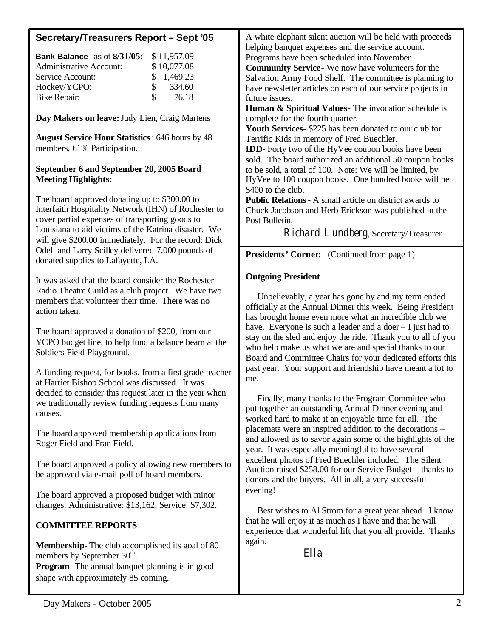# **Secretary/Treasurers Report – Sept '05**

| <b>Bank Balance</b> as of 8/31/05: |               | \$11,957.09 |
|------------------------------------|---------------|-------------|
| <b>Administrative Account:</b>     |               | \$10,077.08 |
| Service Account:                   |               | \$1,469.23  |
| Hockey/YCPO:                       | SS.           | 334.60      |
| <b>Bike Repair:</b>                | $\mathcal{S}$ | 76.18       |

**Day Makers on leave:** Judy Lien, Craig Martens

**August Service Hour Statistics**: 646 hours by 48 members, 61% Participation.

### **September 6 and September 20, 2005 Board Meeting Highlights:**

The board approved donating up to \$300.00 to Interfaith Hospitality Network (IHN) of Rochester to cover partial expenses of transporting goods to Louisiana to aid victims of the Katrina disaster. We will give \$200.00 immediately. For the record: Dick Odell and Larry Scilley delivered 7,000 pounds of donated supplies to Lafayette, LA.

It was asked that the board consider the Rochester Radio Theatre Guild as a club project. We have two members that volunteer their time. There was no action taken.

The board approved a donation of \$200, from our YCPO budget line, to help fund a balance beam at the Soldiers Field Playground.

A funding request, for books, from a first grade teacher at Harriet Bishop School was discussed. It was decided to consider this request later in the year when we traditionally review funding requests from many causes.

The board approved membership applications from Roger Field and Fran Field.

The board approved a policy allowing new members to be approved via e-mail poll of board members.

The board approved a proposed budget with minor changes. Administrative: \$13,162, Service: \$7,302.

## **COMMITTEE REPORTS**

**Membership-** The club accomplished its goal of 80 members by September  $30<sup>th</sup>$ . **Program-** The annual banquet planning is in good shape with approximately 85 coming.

A white elephant silent auction will be held with proceeds helping banquet expenses and the service account. Programs have been scheduled into November.

**Community Service-** We now have volunteers for the Salvation Army Food Shelf.The committee is planning to have newsletter articles on each of our service projects in future issues.

**Human & Spiritual Values**- The invocation schedule is complete for the fourth quarter.

**Youth Services-** \$225 has been donated to our club for Terrific Kids in memory of Fred Buechler.

**IDD-** Forty two of the HyVee coupon books have been sold. The board authorized an additional 50 coupon books to be sold, a total of 100. Note: We will be limited, by HyVee to 100 coupon books. One hundred books will net \$400 to the club.

**Public Relations-** A small article on district awards to Chuck Jacobson and Herb Erickson was published in the Post Bulletin.

Richard Lundberg, Secretary/Treasurer

**Presidents' Corner:** (Continued from page 1)

### **Outgoing President**

 Unbelievably, a year has gone by and my term ended officially at the Annual Dinner this week. Being President has brought home even more what an incredible club we have. Everyone is such a leader and a doer – I just had to stay on the sled and enjoy the ride. Thank you to all of you who help make us what we are and special thanks to our Board and Committee Chairs for your dedicated efforts this past year. Your support and friendship have meant a lot to me.

 Finally, many thanks to the Program Committee who put together an outstanding Annual Dinner evening and worked hard to make it an enjoyable time for all. The placemats were an inspired addition to the decorations – and allowed us to savor again some of the highlights of the year. It was especially meaningful to have several excellent photos of Fred Buechler included. The Silent Auction raised \$258.00 for our Service Budget – thanks to donors and the buyers. All in all, a very successful evening!

 Best wishes to Al Strom for a great year ahead. I know that he will enjoy it as much as I have and that he will experience that wonderful lift that you all provide. Thanks again.

*Ella*